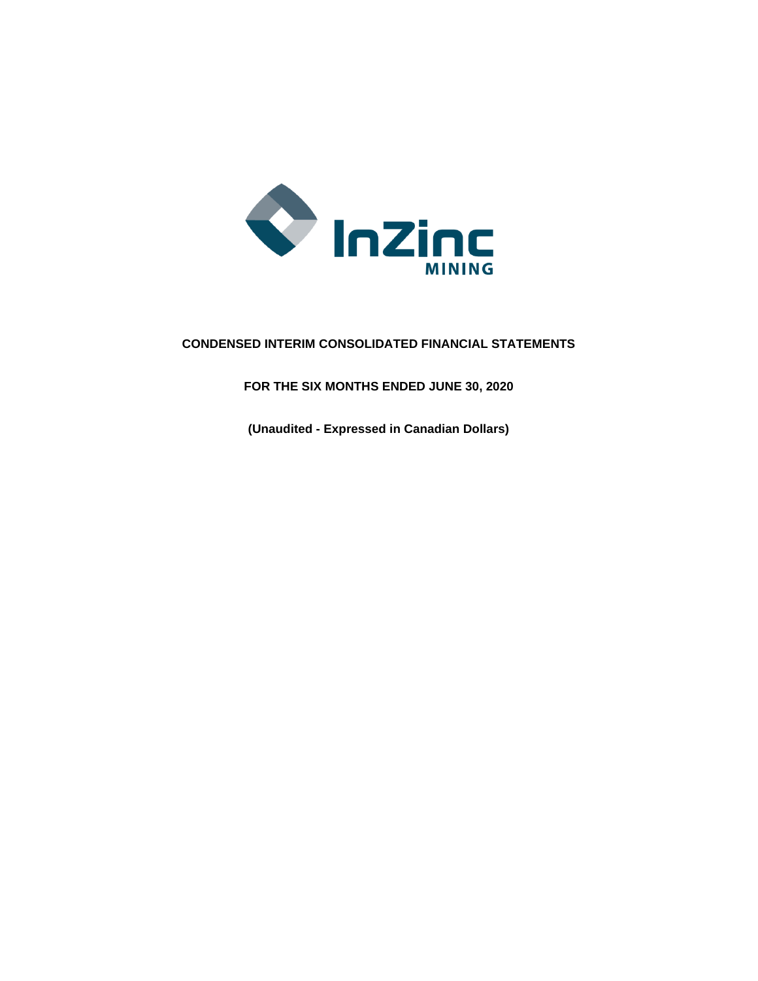

# **CONDENSED INTERIM CONSOLIDATED FINANCIAL STATEMENTS**

**FOR THE SIX MONTHS ENDED JUNE 30, 2020**

**(Unaudited - Expressed in Canadian Dollars)**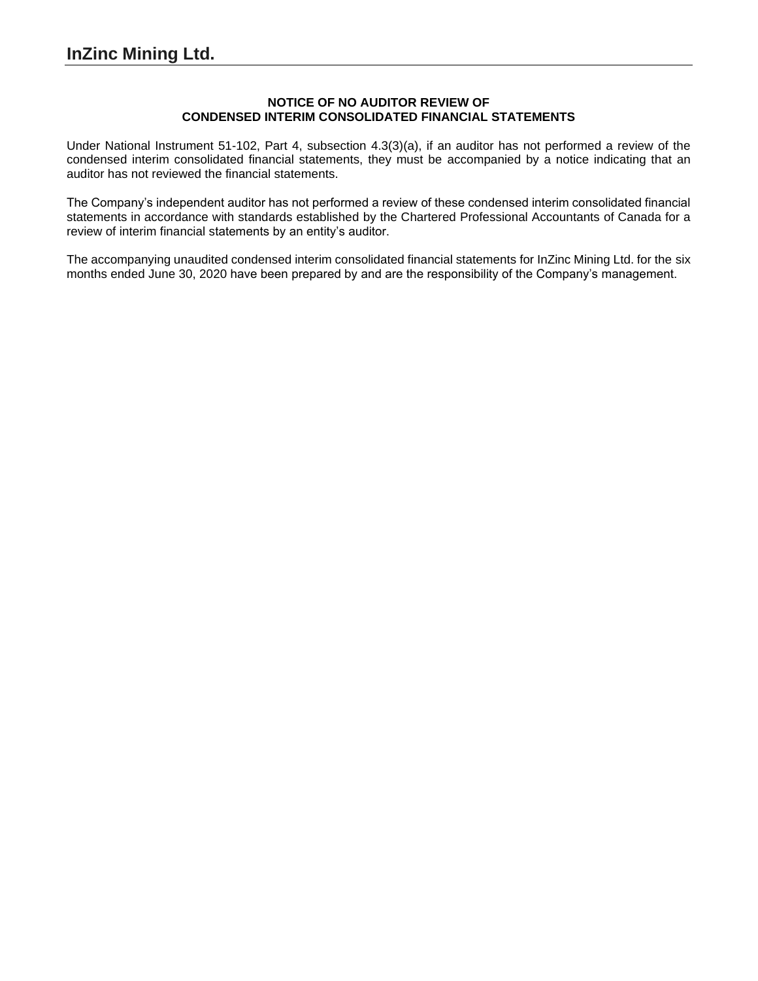### **NOTICE OF NO AUDITOR REVIEW OF CONDENSED INTERIM CONSOLIDATED FINANCIAL STATEMENTS**

Under National Instrument 51-102, Part 4, subsection 4.3(3)(a), if an auditor has not performed a review of the condensed interim consolidated financial statements, they must be accompanied by a notice indicating that an auditor has not reviewed the financial statements.

The Company's independent auditor has not performed a review of these condensed interim consolidated financial statements in accordance with standards established by the Chartered Professional Accountants of Canada for a review of interim financial statements by an entity's auditor.

The accompanying unaudited condensed interim consolidated financial statements for InZinc Mining Ltd. for the six months ended June 30, 2020 have been prepared by and are the responsibility of the Company's management.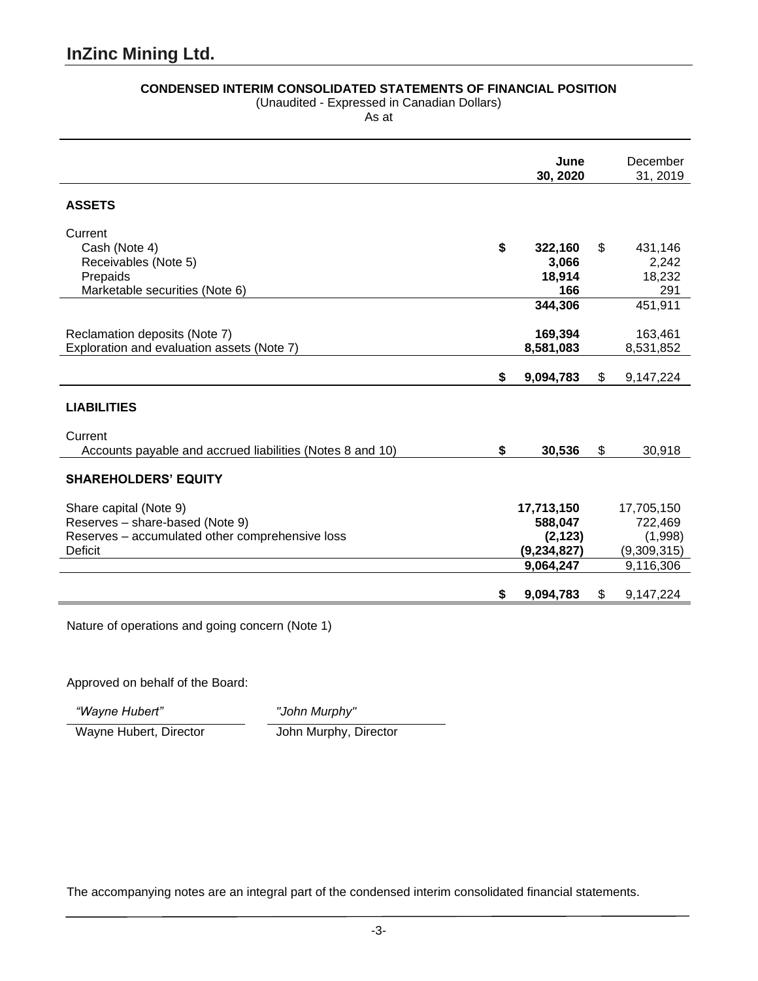## **CONDENSED INTERIM CONSOLIDATED STATEMENTS OF FINANCIAL POSITION**

(Unaudited - Expressed in Canadian Dollars)

As at

|                                                           | June<br>30, 2020 | December<br>31, 2019 |
|-----------------------------------------------------------|------------------|----------------------|
| <b>ASSETS</b>                                             |                  |                      |
| Current                                                   |                  |                      |
| Cash (Note 4)                                             | \$<br>322,160    | \$<br>431,146        |
| Receivables (Note 5)                                      | 3,066            | 2,242                |
| Prepaids                                                  | 18,914<br>166    | 18,232<br>291        |
| Marketable securities (Note 6)                            | 344,306          | 451,911              |
|                                                           |                  |                      |
| Reclamation deposits (Note 7)                             | 169,394          | 163,461              |
| Exploration and evaluation assets (Note 7)                | 8,581,083        | 8,531,852            |
|                                                           |                  |                      |
|                                                           | \$<br>9,094,783  | \$<br>9,147,224      |
|                                                           |                  |                      |
| <b>LIABILITIES</b>                                        |                  |                      |
| Current                                                   |                  |                      |
| Accounts payable and accrued liabilities (Notes 8 and 10) | \$<br>30,536     | \$<br>30,918         |
|                                                           |                  |                      |
| <b>SHAREHOLDERS' EQUITY</b>                               |                  |                      |
|                                                           |                  |                      |
| Share capital (Note 9)                                    | 17,713,150       | 17,705,150           |
| Reserves - share-based (Note 9)                           | 588,047          | 722,469              |
| Reserves - accumulated other comprehensive loss           | (2, 123)         | (1,998)              |
| <b>Deficit</b>                                            | (9, 234, 827)    | (9,309,315)          |
|                                                           | 9,064,247        | 9,116,306            |
|                                                           | \$<br>9,094,783  | \$<br>9,147,224      |

Nature of operations and going concern (Note 1)

Approved on behalf of the Board:

*"Wayne Hubert" "John Murphy"*

Wayne Hubert, Director John Murphy, Director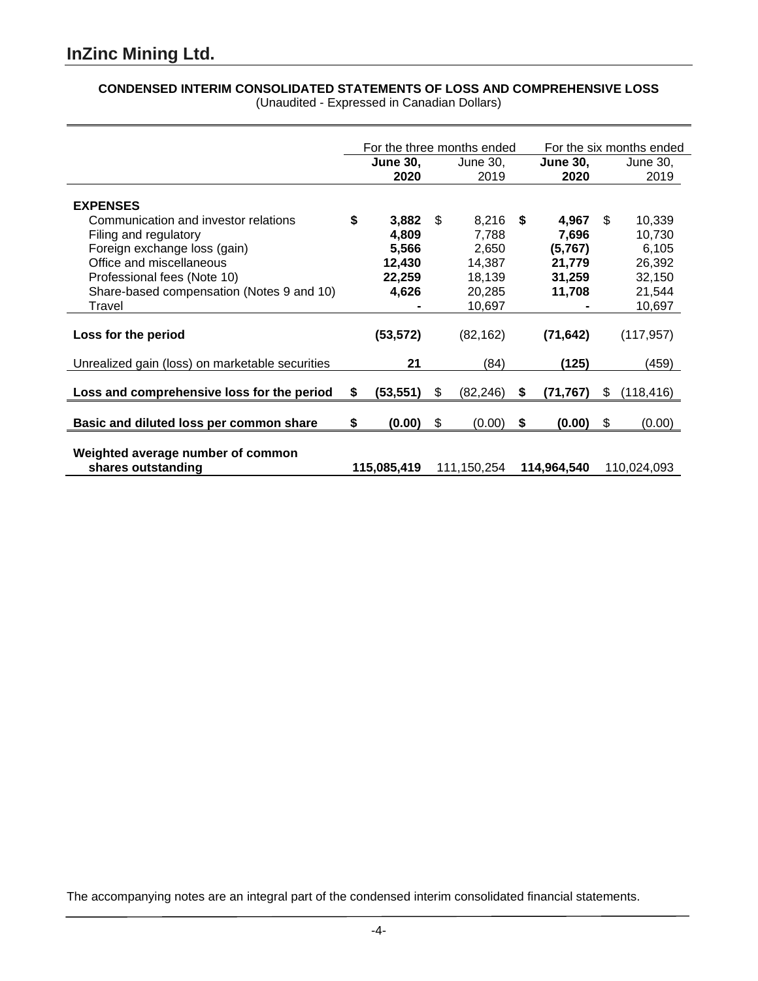## **CONDENSED INTERIM CONSOLIDATED STATEMENTS OF LOSS AND COMPREHENSIVE LOSS** (Unaudited - Expressed in Canadian Dollars)

|                                                                                                                                                          | For the three months ended |                                             |     |                                             | For the six months ended |                                               |     |                                               |
|----------------------------------------------------------------------------------------------------------------------------------------------------------|----------------------------|---------------------------------------------|-----|---------------------------------------------|--------------------------|-----------------------------------------------|-----|-----------------------------------------------|
|                                                                                                                                                          |                            | <b>June 30,</b><br>2020                     |     | June 30,<br>2019                            |                          | <b>June 30,</b><br>2020                       |     | June 30,<br>2019                              |
| <b>EXPENSES</b>                                                                                                                                          |                            |                                             |     |                                             |                          |                                               |     |                                               |
| Communication and investor relations<br>Filing and regulatory<br>Foreign exchange loss (gain)<br>Office and miscellaneous<br>Professional fees (Note 10) | \$                         | 3,882<br>4,809<br>5,566<br>12,430<br>22,259 | \$. | 8,216<br>7,788<br>2,650<br>14,387<br>18,139 | - \$                     | 4,967<br>7,696<br>(5,767)<br>21,779<br>31,259 | \$. | 10,339<br>10,730<br>6,105<br>26,392<br>32,150 |
| Share-based compensation (Notes 9 and 10)<br>Travel                                                                                                      |                            | 4,626                                       |     | 20,285<br>10,697                            |                          | 11,708                                        |     | 21,544<br>10,697                              |
| Loss for the period                                                                                                                                      |                            | (53, 572)                                   |     | (82, 162)                                   |                          | (71, 642)                                     |     | (117, 957)                                    |
| Unrealized gain (loss) on marketable securities                                                                                                          |                            | 21                                          |     | (84)                                        |                          | (125)                                         |     | (459)                                         |
| Loss and comprehensive loss for the period                                                                                                               | \$                         | (53, 551)                                   | \$  | (82, 246)                                   | S                        | (71, 767)                                     | S.  | (118, 416)                                    |
| Basic and diluted loss per common share                                                                                                                  | \$                         | (0.00)                                      | \$  | (0.00)                                      | \$                       | (0.00)                                        | \$  | (0.00)                                        |
| Weighted average number of common<br>shares outstanding                                                                                                  |                            | 115,085,419                                 |     | 111,150,254                                 |                          | 114,964,540                                   |     | 110,024,093                                   |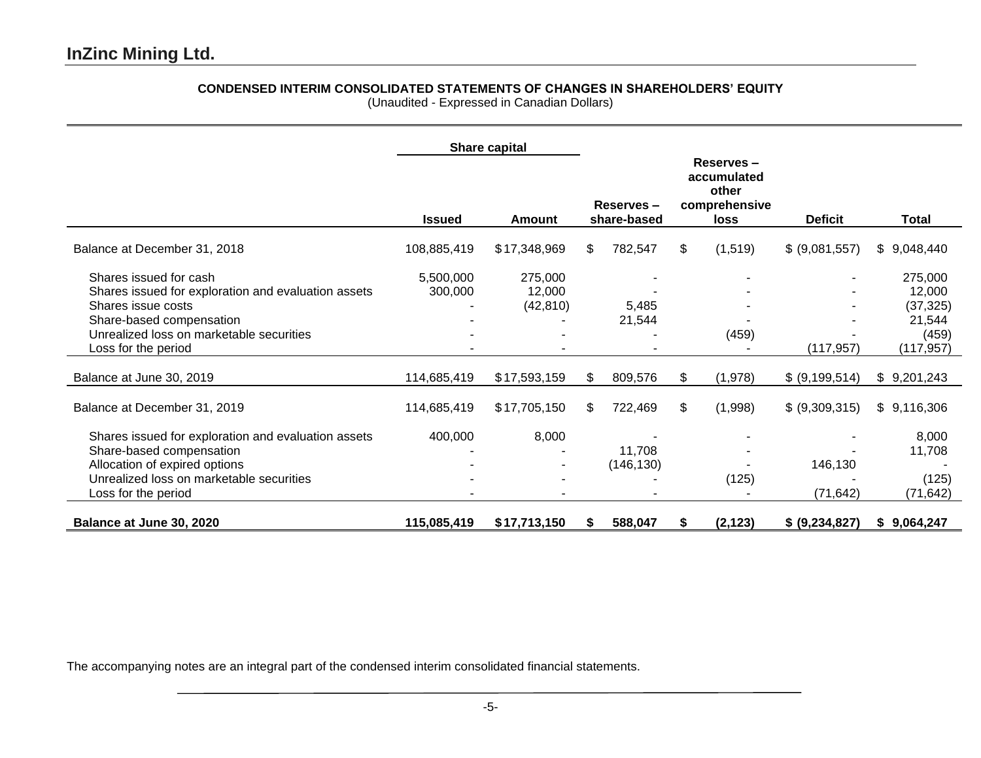# **CONDENSED INTERIM CONSOLIDATED STATEMENTS OF CHANGES IN SHAREHOLDERS' EQUITY**

(Unaudited - Expressed in Canadian Dollars)

|                                                                                                                                                                                                    |                      | <b>Share capital</b>           |                          |                      |    |          |                      |                                                                 |  |  |  |  |  |  |  |  |  |  |  |  |  |  |  |  |  |  |  |  |  |  |  |  |  |  |  |  |  |  |  |  |  |  |  |  |  |  |  |  |  |  |  |  |  |  |  |  |  |  |  |  |  |  |  |                                                                              |  |              |
|----------------------------------------------------------------------------------------------------------------------------------------------------------------------------------------------------|----------------------|--------------------------------|--------------------------|----------------------|----|----------|----------------------|-----------------------------------------------------------------|--|--|--|--|--|--|--|--|--|--|--|--|--|--|--|--|--|--|--|--|--|--|--|--|--|--|--|--|--|--|--|--|--|--|--|--|--|--|--|--|--|--|--|--|--|--|--|--|--|--|--|--|--|--|--|------------------------------------------------------------------------------|--|--------------|
|                                                                                                                                                                                                    | <b>Issued</b>        | Amount                         | Reserves-<br>share-based |                      |    |          |                      |                                                                 |  |  |  |  |  |  |  |  |  |  |  |  |  |  |  |  |  |  |  |  |  |  |  |  |  |  |  |  |  |  |  |  |  |  |  |  |  |  |  |  |  |  |  |  |  |  |  |  |  |  |  |  |  |  |  | Reserves-<br>accumulated<br>other<br>comprehensive<br><b>Deficit</b><br>loss |  | <b>Total</b> |
| Balance at December 31, 2018                                                                                                                                                                       | 108,885,419          | \$17,348,969                   | \$.                      | 782,547              | \$ | (1,519)  | \$ (9,081,557)       | \$9,048,440                                                     |  |  |  |  |  |  |  |  |  |  |  |  |  |  |  |  |  |  |  |  |  |  |  |  |  |  |  |  |  |  |  |  |  |  |  |  |  |  |  |  |  |  |  |  |  |  |  |  |  |  |  |  |  |  |  |                                                                              |  |              |
| Shares issued for cash<br>Shares issued for exploration and evaluation assets<br>Shares issue costs<br>Share-based compensation<br>Unrealized loss on marketable securities<br>Loss for the period | 5,500,000<br>300,000 | 275,000<br>12,000<br>(42, 810) |                          | 5,485<br>21,544      |    | (459)    | (117, 957)           | 275,000<br>12,000<br>(37, 325)<br>21,544<br>(459)<br>(117, 957) |  |  |  |  |  |  |  |  |  |  |  |  |  |  |  |  |  |  |  |  |  |  |  |  |  |  |  |  |  |  |  |  |  |  |  |  |  |  |  |  |  |  |  |  |  |  |  |  |  |  |  |  |  |  |  |                                                                              |  |              |
| Balance at June 30, 2019                                                                                                                                                                           | 114,685,419          | \$17,593,159                   | \$.                      | 809,576              | \$ | (1,978)  | \$ (9,199,514)       | \$9,201,243                                                     |  |  |  |  |  |  |  |  |  |  |  |  |  |  |  |  |  |  |  |  |  |  |  |  |  |  |  |  |  |  |  |  |  |  |  |  |  |  |  |  |  |  |  |  |  |  |  |  |  |  |  |  |  |  |  |                                                                              |  |              |
| Balance at December 31, 2019                                                                                                                                                                       | 114,685,419          | \$17,705,150                   | \$                       | 722,469              | \$ | (1,998)  | \$ (9,309,315)       | \$9,116,306                                                     |  |  |  |  |  |  |  |  |  |  |  |  |  |  |  |  |  |  |  |  |  |  |  |  |  |  |  |  |  |  |  |  |  |  |  |  |  |  |  |  |  |  |  |  |  |  |  |  |  |  |  |  |  |  |  |                                                                              |  |              |
| Shares issued for exploration and evaluation assets<br>Share-based compensation<br>Allocation of expired options<br>Unrealized loss on marketable securities<br>Loss for the period                | 400,000              | 8,000                          |                          | 11,708<br>(146, 130) |    | (125)    | 146,130<br>(71, 642) | 8,000<br>11,708<br>(125)<br>(71, 642)                           |  |  |  |  |  |  |  |  |  |  |  |  |  |  |  |  |  |  |  |  |  |  |  |  |  |  |  |  |  |  |  |  |  |  |  |  |  |  |  |  |  |  |  |  |  |  |  |  |  |  |  |  |  |  |  |                                                                              |  |              |
| Balance at June 30, 2020                                                                                                                                                                           | 115,085,419          | \$17,713,150                   | S.                       | 588,047              | S. | (2, 123) | \$ (9,234,827)       | \$9,064,247                                                     |  |  |  |  |  |  |  |  |  |  |  |  |  |  |  |  |  |  |  |  |  |  |  |  |  |  |  |  |  |  |  |  |  |  |  |  |  |  |  |  |  |  |  |  |  |  |  |  |  |  |  |  |  |  |  |                                                                              |  |              |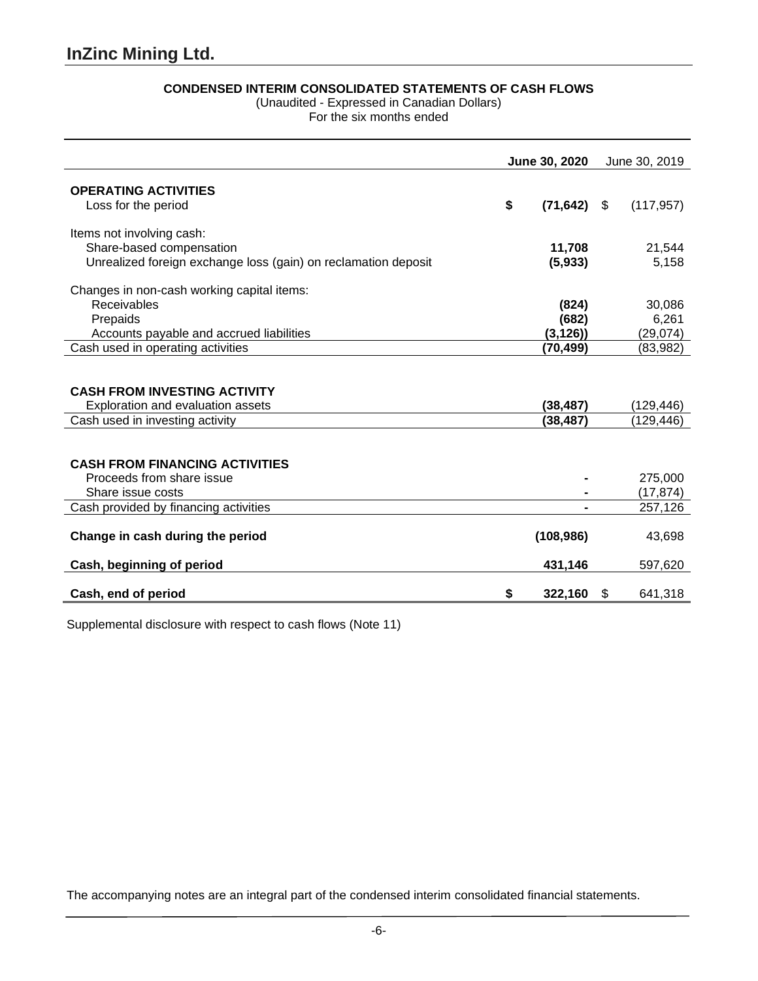## **CONDENSED INTERIM CONSOLIDATED STATEMENTS OF CASH FLOWS**

(Unaudited - Expressed in Canadian Dollars)

For the six months ended

|                                                                | June 30, 2020 |                        | June 30, 2019 |
|----------------------------------------------------------------|---------------|------------------------|---------------|
| <b>OPERATING ACTIVITIES</b>                                    |               |                        |               |
| Loss for the period                                            | \$            | $(71, 642)$ \$         | (117, 957)    |
|                                                                |               |                        |               |
| Items not involving cash:                                      |               |                        |               |
| Share-based compensation                                       |               | 11,708                 | 21,544        |
| Unrealized foreign exchange loss (gain) on reclamation deposit |               | (5,933)                | 5,158         |
| Changes in non-cash working capital items:                     |               |                        |               |
| Receivables                                                    |               | (824)                  | 30,086        |
| Prepaids                                                       |               | (682)                  | 6,261         |
| Accounts payable and accrued liabilities                       |               | (3, 126)               | (29, 074)     |
| Cash used in operating activities                              |               | (70,499)               | (83, 982)     |
| <b>CASH FROM INVESTING ACTIVITY</b>                            |               |                        |               |
| Exploration and evaluation assets                              |               | (38, 487)<br>(38, 487) | (129, 446)    |
| Cash used in investing activity                                |               |                        | (129, 446)    |
| <b>CASH FROM FINANCING ACTIVITIES</b>                          |               |                        |               |
| Proceeds from share issue                                      |               |                        | 275,000       |
| Share issue costs                                              |               |                        | (17, 874)     |
| Cash provided by financing activities                          |               |                        | 257,126       |
| Change in cash during the period                               |               | (108, 986)             | 43,698        |
| Cash, beginning of period                                      |               | 431,146                | 597,620       |
| Cash, end of period                                            | S             | 322,160                | \$<br>641,318 |

Supplemental disclosure with respect to cash flows (Note 11)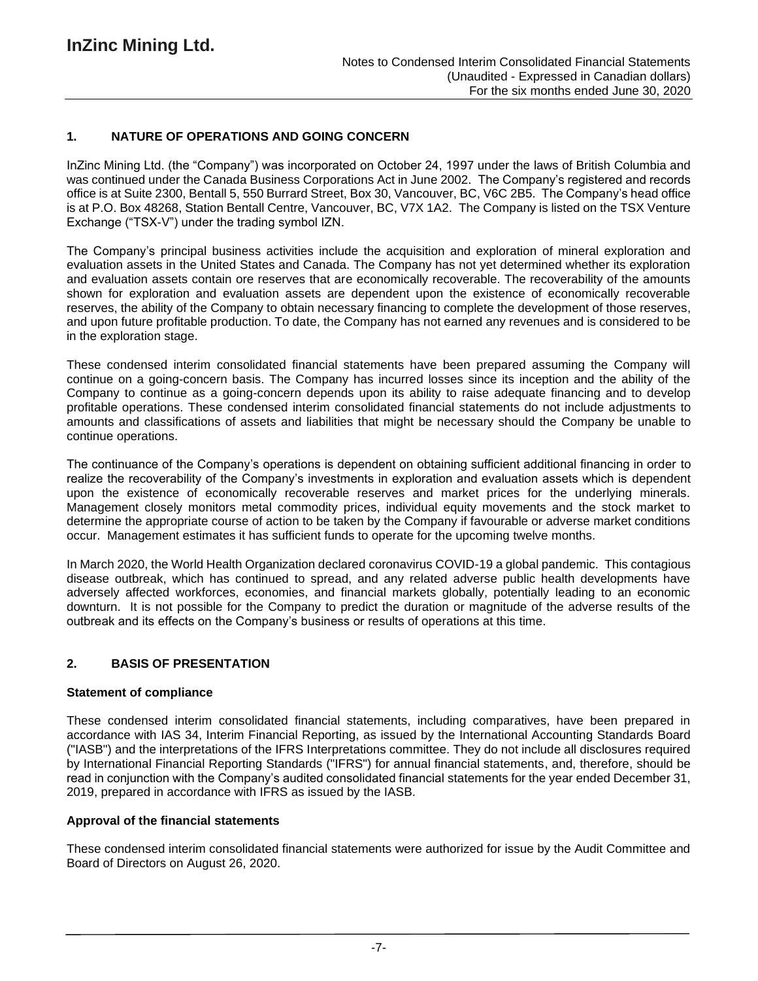## **1. NATURE OF OPERATIONS AND GOING CONCERN**

InZinc Mining Ltd. (the "Company") was incorporated on October 24, 1997 under the laws of British Columbia and was continued under the Canada Business Corporations Act in June 2002. The Company's registered and records office is at Suite 2300, Bentall 5, 550 Burrard Street, Box 30, Vancouver, BC, V6C 2B5. The Company's head office is at P.O. Box 48268, Station Bentall Centre, Vancouver, BC, V7X 1A2. The Company is listed on the TSX Venture Exchange ("TSX-V") under the trading symbol IZN.

The Company's principal business activities include the acquisition and exploration of mineral exploration and evaluation assets in the United States and Canada. The Company has not yet determined whether its exploration and evaluation assets contain ore reserves that are economically recoverable. The recoverability of the amounts shown for exploration and evaluation assets are dependent upon the existence of economically recoverable reserves, the ability of the Company to obtain necessary financing to complete the development of those reserves, and upon future profitable production. To date, the Company has not earned any revenues and is considered to be in the exploration stage.

These condensed interim consolidated financial statements have been prepared assuming the Company will continue on a going-concern basis. The Company has incurred losses since its inception and the ability of the Company to continue as a going-concern depends upon its ability to raise adequate financing and to develop profitable operations. These condensed interim consolidated financial statements do not include adjustments to amounts and classifications of assets and liabilities that might be necessary should the Company be unable to continue operations.

The continuance of the Company's operations is dependent on obtaining sufficient additional financing in order to realize the recoverability of the Company's investments in exploration and evaluation assets which is dependent upon the existence of economically recoverable reserves and market prices for the underlying minerals. Management closely monitors metal commodity prices, individual equity movements and the stock market to determine the appropriate course of action to be taken by the Company if favourable or adverse market conditions occur. Management estimates it has sufficient funds to operate for the upcoming twelve months.

In March 2020, the World Health Organization declared coronavirus COVID-19 a global pandemic. This contagious disease outbreak, which has continued to spread, and any related adverse public health developments have adversely affected workforces, economies, and financial markets globally, potentially leading to an economic downturn. It is not possible for the Company to predict the duration or magnitude of the adverse results of the outbreak and its effects on the Company's business or results of operations at this time.

## **2. BASIS OF PRESENTATION**

#### **Statement of compliance**

These condensed interim consolidated financial statements, including comparatives, have been prepared in accordance with IAS 34, Interim Financial Reporting, as issued by the International Accounting Standards Board ("IASB") and the interpretations of the IFRS Interpretations committee. They do not include all disclosures required by International Financial Reporting Standards ("IFRS") for annual financial statements, and, therefore, should be read in conjunction with the Company's audited consolidated financial statements for the year ended December 31, 2019, prepared in accordance with IFRS as issued by the IASB.

#### **Approval of the financial statements**

These condensed interim consolidated financial statements were authorized for issue by the Audit Committee and Board of Directors on August 26, 2020.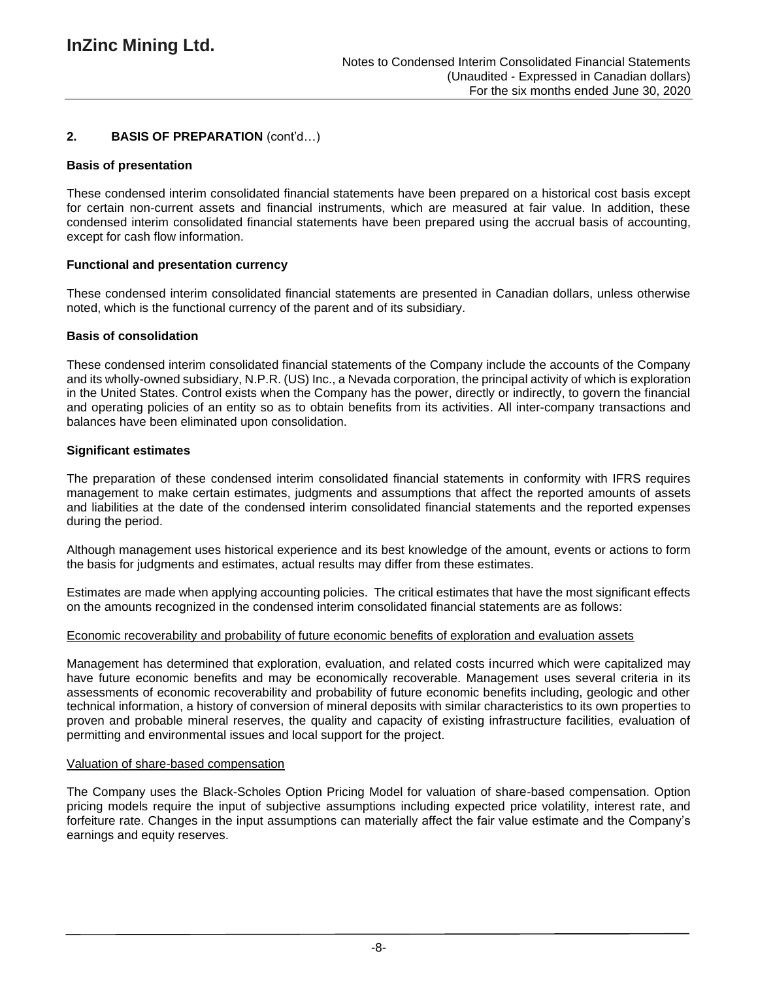## **2. BASIS OF PREPARATION** (cont'd…)

### **Basis of presentation**

These condensed interim consolidated financial statements have been prepared on a historical cost basis except for certain non-current assets and financial instruments, which are measured at fair value. In addition, these condensed interim consolidated financial statements have been prepared using the accrual basis of accounting, except for cash flow information.

## **Functional and presentation currency**

These condensed interim consolidated financial statements are presented in Canadian dollars, unless otherwise noted, which is the functional currency of the parent and of its subsidiary.

### **Basis of consolidation**

These condensed interim consolidated financial statements of the Company include the accounts of the Company and its wholly-owned subsidiary, N.P.R. (US) Inc., a Nevada corporation, the principal activity of which is exploration in the United States. Control exists when the Company has the power, directly or indirectly, to govern the financial and operating policies of an entity so as to obtain benefits from its activities. All inter-company transactions and balances have been eliminated upon consolidation.

### **Significant estimates**

The preparation of these condensed interim consolidated financial statements in conformity with IFRS requires management to make certain estimates, judgments and assumptions that affect the reported amounts of assets and liabilities at the date of the condensed interim consolidated financial statements and the reported expenses during the period.

Although management uses historical experience and its best knowledge of the amount, events or actions to form the basis for judgments and estimates, actual results may differ from these estimates.

Estimates are made when applying accounting policies. The critical estimates that have the most significant effects on the amounts recognized in the condensed interim consolidated financial statements are as follows:

#### Economic recoverability and probability of future economic benefits of exploration and evaluation assets

Management has determined that exploration, evaluation, and related costs incurred which were capitalized may have future economic benefits and may be economically recoverable. Management uses several criteria in its assessments of economic recoverability and probability of future economic benefits including, geologic and other technical information, a history of conversion of mineral deposits with similar characteristics to its own properties to proven and probable mineral reserves, the quality and capacity of existing infrastructure facilities, evaluation of permitting and environmental issues and local support for the project.

### Valuation of share-based compensation

The Company uses the Black-Scholes Option Pricing Model for valuation of share-based compensation. Option pricing models require the input of subjective assumptions including expected price volatility, interest rate, and forfeiture rate. Changes in the input assumptions can materially affect the fair value estimate and the Company's earnings and equity reserves.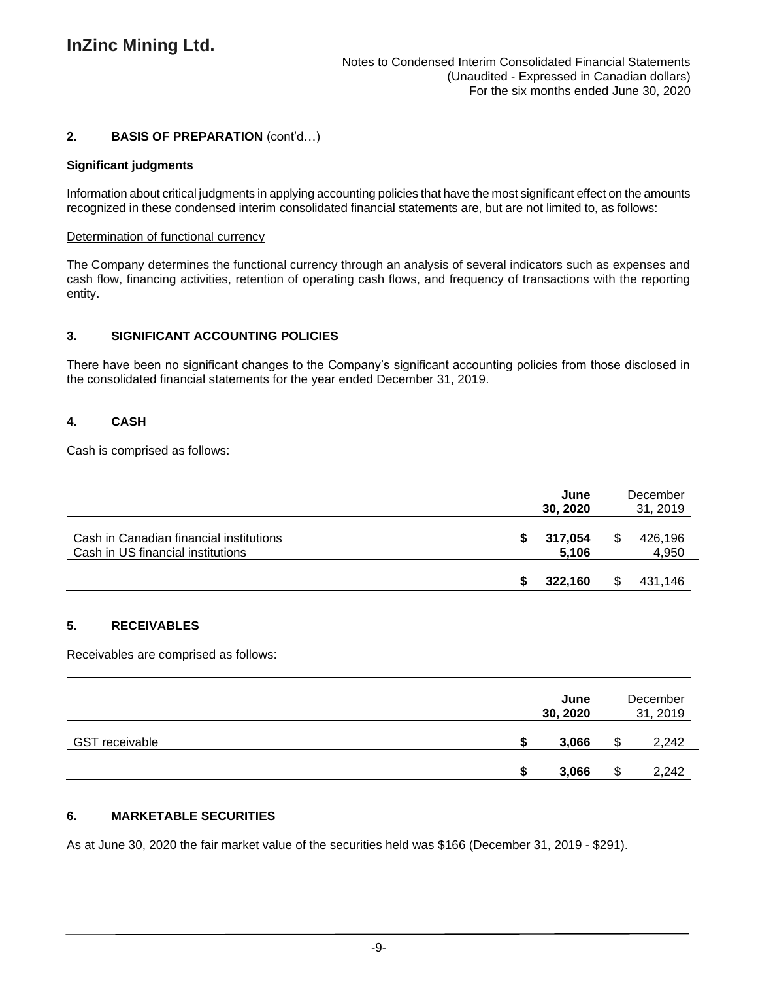## **2. BASIS OF PREPARATION** (cont'd…)

### **Significant judgments**

Information about critical judgments in applying accounting policies that have the most significant effect on the amounts recognized in these condensed interim consolidated financial statements are, but are not limited to, as follows:

### Determination of functional currency

The Company determines the functional currency through an analysis of several indicators such as expenses and cash flow, financing activities, retention of operating cash flows, and frequency of transactions with the reporting entity.

## **3. SIGNIFICANT ACCOUNTING POLICIES**

There have been no significant changes to the Company's significant accounting policies from those disclosed in the consolidated financial statements for the year ended December 31, 2019.

## **4. CASH**

Cash is comprised as follows:

|                                                                              |   | June<br>30, 2020 |   | December<br>31, 2019 |
|------------------------------------------------------------------------------|---|------------------|---|----------------------|
| Cash in Canadian financial institutions<br>Cash in US financial institutions | S | 317,054<br>5,106 | S | 426,196<br>4,950     |
|                                                                              |   | 322,160          |   | 431,146              |

# **5. RECEIVABLES**

Receivables are comprised as follows:

|                       | June<br>30, 2020 | December<br>31, 2019 |
|-----------------------|------------------|----------------------|
| <b>GST receivable</b> | 3,066            | 2,242                |
|                       | 3,066            | 2,242                |

## **6. MARKETABLE SECURITIES**

As at June 30, 2020 the fair market value of the securities held was \$166 (December 31, 2019 - \$291).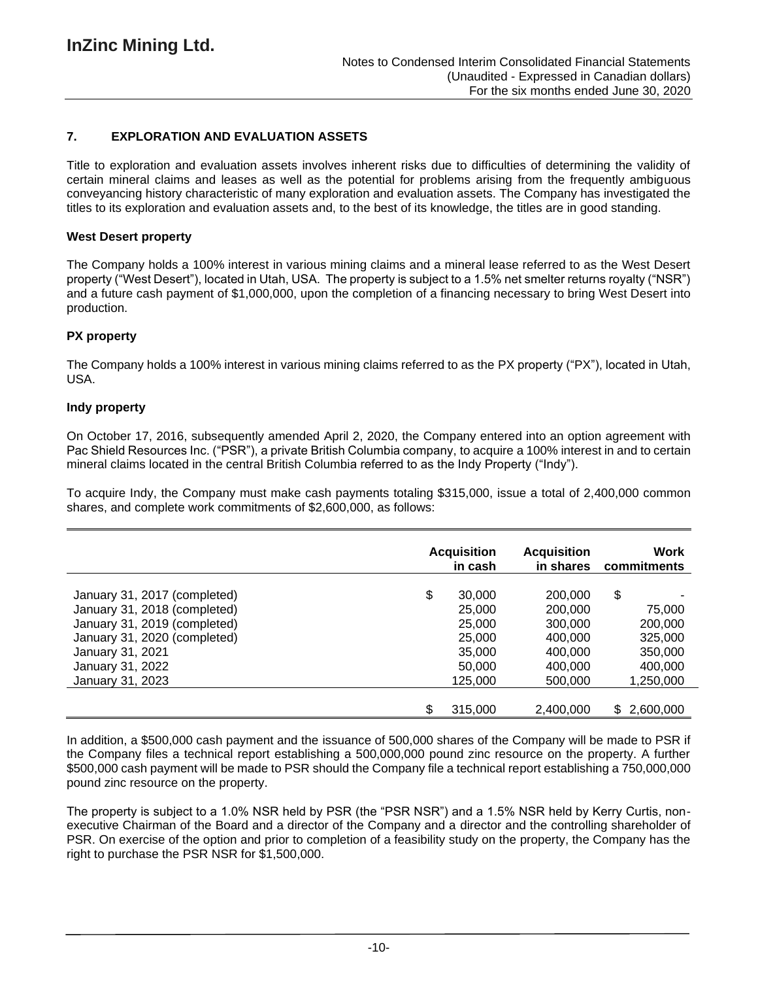## **7. EXPLORATION AND EVALUATION ASSETS**

Title to exploration and evaluation assets involves inherent risks due to difficulties of determining the validity of certain mineral claims and leases as well as the potential for problems arising from the frequently ambiguous conveyancing history characteristic of many exploration and evaluation assets. The Company has investigated the titles to its exploration and evaluation assets and, to the best of its knowledge, the titles are in good standing.

### **West Desert property**

The Company holds a 100% interest in various mining claims and a mineral lease referred to as the West Desert property ("West Desert"), located in Utah, USA. The property is subject to a 1.5% net smelter returns royalty ("NSR") and a future cash payment of \$1,000,000, upon the completion of a financing necessary to bring West Desert into production.

### **PX property**

The Company holds a 100% interest in various mining claims referred to as the PX property ("PX"), located in Utah, USA.

#### **Indy property**

On October 17, 2016, subsequently amended April 2, 2020, the Company entered into an option agreement with Pac Shield Resources Inc. ("PSR"), a private British Columbia company, to acquire a 100% interest in and to certain mineral claims located in the central British Columbia referred to as the Indy Property ("Indy").

To acquire Indy, the Company must make cash payments totaling \$315,000, issue a total of 2,400,000 common shares, and complete work commitments of \$2,600,000, as follows:

|                              | <b>Acquisition</b><br>in cash | <b>Acquisition</b><br>in shares | Work<br>commitments |
|------------------------------|-------------------------------|---------------------------------|---------------------|
| January 31, 2017 (completed) | \$<br>30,000                  | 200,000                         | \$                  |
| January 31, 2018 (completed) | 25,000                        | 200,000                         | 75,000              |
| January 31, 2019 (completed) | 25,000                        | 300,000                         | 200,000             |
| January 31, 2020 (completed) | 25,000                        | 400,000                         | 325,000             |
| January 31, 2021             | 35,000                        | 400,000                         | 350,000             |
| January 31, 2022             | 50,000                        | 400.000                         | 400,000             |
| January 31, 2023             | 125,000                       | 500,000                         | 1,250,000           |
|                              | \$<br>315,000                 | 2,400,000                       | 2,600,000<br>S.     |

In addition, a \$500,000 cash payment and the issuance of 500,000 shares of the Company will be made to PSR if the Company files a technical report establishing a 500,000,000 pound zinc resource on the property. A further \$500,000 cash payment will be made to PSR should the Company file a technical report establishing a 750,000,000 pound zinc resource on the property.

The property is subject to a 1.0% NSR held by PSR (the "PSR NSR") and a 1.5% NSR held by Kerry Curtis, nonexecutive Chairman of the Board and a director of the Company and a director and the controlling shareholder of PSR. On exercise of the option and prior to completion of a feasibility study on the property, the Company has the right to purchase the PSR NSR for \$1,500,000.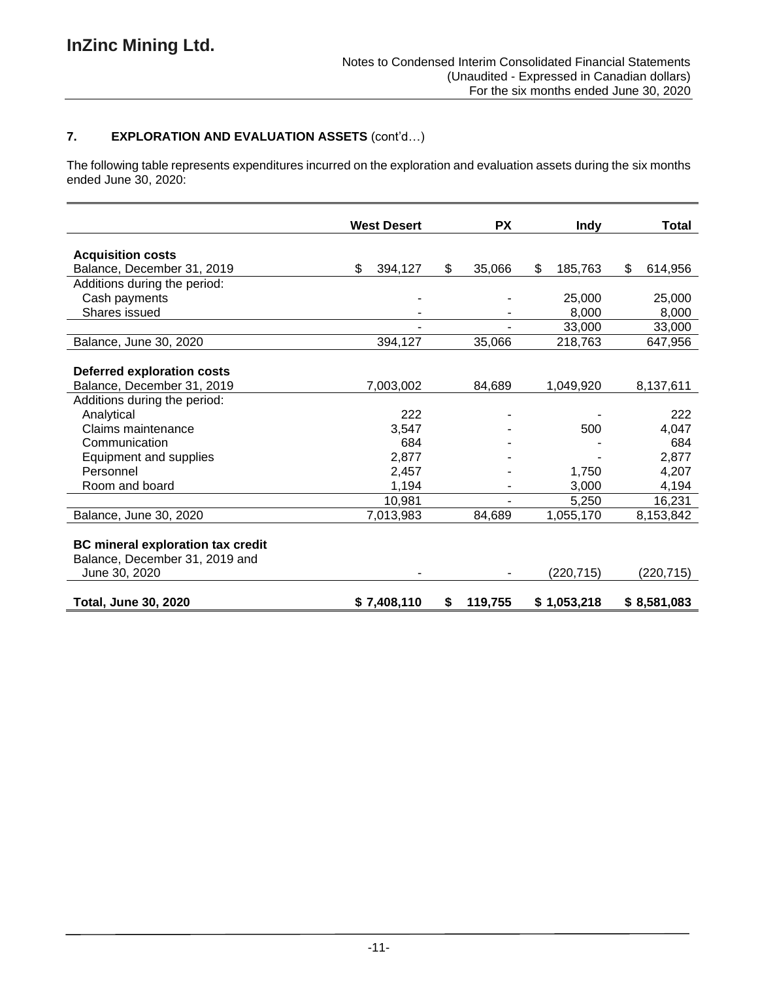# **7. EXPLORATION AND EVALUATION ASSETS** (cont'd…)

The following table represents expenditures incurred on the exploration and evaluation assets during the six months ended June 30, 2020:

|                                                                                             | <b>West Desert</b> | <b>PX</b>    | <b>Indy</b>   | Total         |
|---------------------------------------------------------------------------------------------|--------------------|--------------|---------------|---------------|
|                                                                                             |                    |              |               |               |
| <b>Acquisition costs</b>                                                                    |                    |              |               |               |
| Balance, December 31, 2019                                                                  | \$<br>394,127      | \$<br>35,066 | \$<br>185,763 | \$<br>614,956 |
| Additions during the period:                                                                |                    |              |               |               |
| Cash payments                                                                               |                    |              | 25,000        | 25,000        |
| Shares issued                                                                               |                    |              | 8,000         | 8,000         |
|                                                                                             |                    |              | 33,000        | 33,000        |
| Balance, June 30, 2020                                                                      | 394,127            | 35,066       | 218,763       | 647,956       |
|                                                                                             |                    |              |               |               |
| <b>Deferred exploration costs</b>                                                           |                    |              |               |               |
| Balance, December 31, 2019                                                                  | 7,003,002          | 84,689       | 1,049,920     | 8,137,611     |
| Additions during the period:                                                                |                    |              |               |               |
| Analytical                                                                                  | 222                |              |               | 222           |
| Claims maintenance                                                                          | 3,547              |              | 500           | 4,047         |
| Communication                                                                               | 684                |              |               | 684           |
| Equipment and supplies                                                                      | 2,877              |              |               | 2,877         |
| Personnel                                                                                   | 2.457              |              | 1,750         | 4,207         |
| Room and board                                                                              | 1,194              |              | 3,000         | 4,194         |
|                                                                                             | 10,981             |              | 5,250         | 16,231        |
| Balance, June 30, 2020                                                                      | 7,013,983          | 84.689       | 1,055,170     | 8,153,842     |
| <b>BC mineral exploration tax credit</b><br>Balance, December 31, 2019 and<br>June 30, 2020 |                    |              | (220, 715)    | (220, 715)    |
| <b>Total, June 30, 2020</b>                                                                 | \$7,408,110        | S<br>119,755 | \$1,053,218   | \$8,581,083   |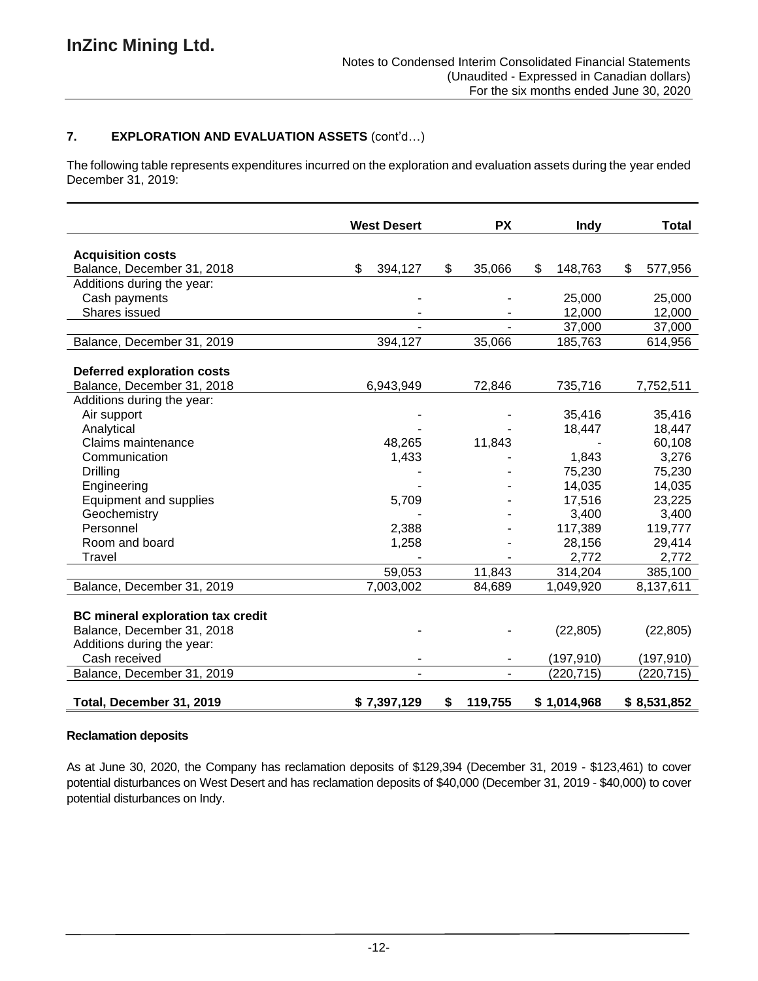## **7. EXPLORATION AND EVALUATION ASSETS** (cont'd…)

The following table represents expenditures incurred on the exploration and evaluation assets during the year ended December 31, 2019:

|                                          | <b>West Desert</b> | <b>PX</b>     | Indy          | Total         |
|------------------------------------------|--------------------|---------------|---------------|---------------|
|                                          |                    |               |               |               |
| <b>Acquisition costs</b>                 |                    |               |               |               |
| Balance, December 31, 2018               | \$<br>394,127      | \$<br>35,066  | \$<br>148,763 | \$<br>577,956 |
| Additions during the year:               |                    |               |               |               |
| Cash payments                            |                    |               | 25,000        | 25,000        |
| Shares issued                            |                    |               | 12,000        | 12,000        |
|                                          |                    |               | 37,000        | 37,000        |
| Balance, December 31, 2019               | 394,127            | 35,066        | 185,763       | 614,956       |
| <b>Deferred exploration costs</b>        |                    |               |               |               |
| Balance, December 31, 2018               | 6,943,949          | 72,846        | 735,716       | 7,752,511     |
| Additions during the year:               |                    |               |               |               |
| Air support                              |                    |               | 35,416        | 35,416        |
| Analytical                               |                    |               | 18,447        | 18,447        |
| Claims maintenance                       | 48,265             | 11,843        |               | 60,108        |
| Communication                            | 1,433              |               | 1,843         | 3,276         |
| <b>Drilling</b>                          |                    |               | 75,230        | 75,230        |
| Engineering                              |                    |               | 14,035        | 14,035        |
| <b>Equipment and supplies</b>            | 5,709              |               | 17,516        | 23,225        |
| Geochemistry                             |                    |               | 3,400         | 3,400         |
| Personnel                                | 2,388              |               | 117,389       | 119,777       |
| Room and board                           | 1,258              |               | 28,156        | 29,414        |
| Travel                                   |                    |               | 2,772         | 2,772         |
|                                          | 59,053             | 11,843        | 314,204       | 385,100       |
| Balance, December 31, 2019               | 7,003,002          | 84,689        | 1,049,920     | 8,137,611     |
|                                          |                    |               |               |               |
| <b>BC mineral exploration tax credit</b> |                    |               |               |               |
| Balance, December 31, 2018               |                    |               | (22, 805)     | (22, 805)     |
| Additions during the year:               |                    |               |               |               |
| Cash received                            |                    |               | (197,910)     | (197, 910)    |
| Balance, December 31, 2019               |                    |               | (220, 715)    | (220, 715)    |
| Total, December 31, 2019                 | \$7,397,129        | \$<br>119,755 | \$1,014,968   | \$8,531,852   |

## **Reclamation deposits**

As at June 30, 2020, the Company has reclamation deposits of \$129,394 (December 31, 2019 - \$123,461) to cover potential disturbances on West Desert and has reclamation deposits of \$40,000 (December 31, 2019 - \$40,000) to cover potential disturbances on Indy.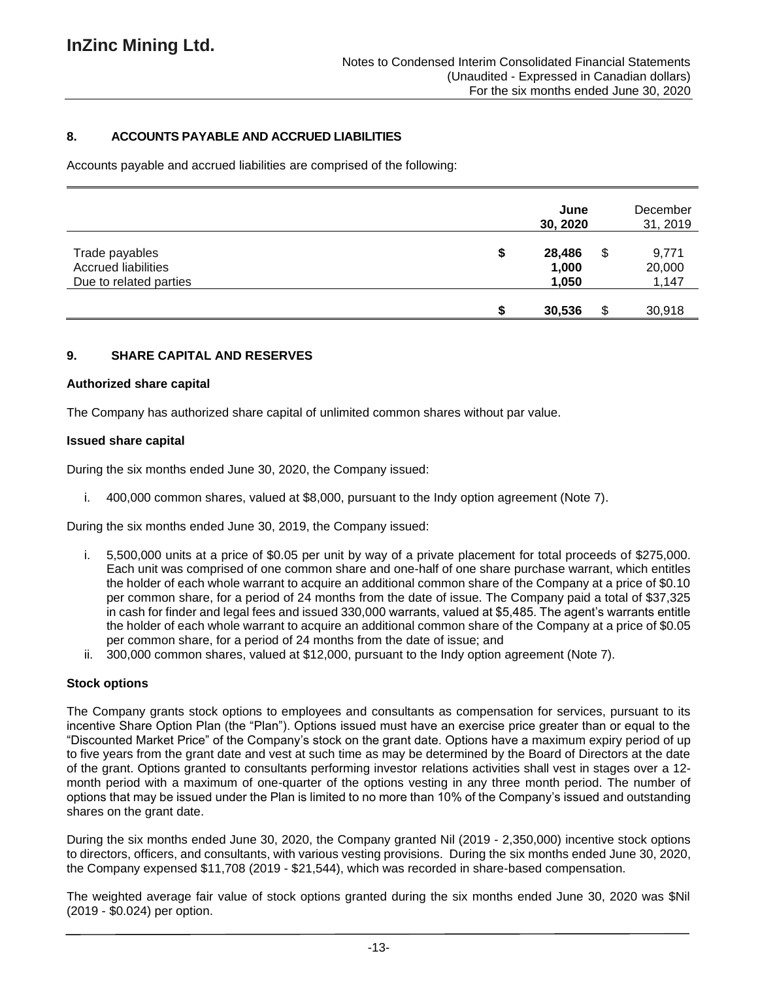## **8. ACCOUNTS PAYABLE AND ACCRUED LIABILITIES**

Accounts payable and accrued liabilities are comprised of the following:

|                                                                        | June<br>30, 2020               |    | December<br>31, 2019     |
|------------------------------------------------------------------------|--------------------------------|----|--------------------------|
| Trade payables<br><b>Accrued liabilities</b><br>Due to related parties | \$<br>28,486<br>1,000<br>1,050 | \$ | 9,771<br>20,000<br>1,147 |
|                                                                        | 30,536                         | S  | 30,918                   |

### **9. SHARE CAPITAL AND RESERVES**

#### **Authorized share capital**

The Company has authorized share capital of unlimited common shares without par value.

#### **Issued share capital**

During the six months ended June 30, 2020, the Company issued:

i. 400,000 common shares, valued at \$8,000, pursuant to the Indy option agreement (Note 7).

During the six months ended June 30, 2019, the Company issued:

- i. 5,500,000 units at a price of \$0.05 per unit by way of a private placement for total proceeds of \$275,000. Each unit was comprised of one common share and one-half of one share purchase warrant, which entitles the holder of each whole warrant to acquire an additional common share of the Company at a price of \$0.10 per common share, for a period of 24 months from the date of issue. The Company paid a total of \$37,325 in cash for finder and legal fees and issued 330,000 warrants, valued at \$5,485. The agent's warrants entitle the holder of each whole warrant to acquire an additional common share of the Company at a price of \$0.05 per common share, for a period of 24 months from the date of issue; and
- ii. 300,000 common shares, valued at \$12,000, pursuant to the Indy option agreement (Note 7).

#### **Stock options**

The Company grants stock options to employees and consultants as compensation for services, pursuant to its incentive Share Option Plan (the "Plan"). Options issued must have an exercise price greater than or equal to the "Discounted Market Price" of the Company's stock on the grant date. Options have a maximum expiry period of up to five years from the grant date and vest at such time as may be determined by the Board of Directors at the date of the grant. Options granted to consultants performing investor relations activities shall vest in stages over a 12 month period with a maximum of one-quarter of the options vesting in any three month period. The number of options that may be issued under the Plan is limited to no more than 10% of the Company's issued and outstanding shares on the grant date.

During the six months ended June 30, 2020, the Company granted Nil (2019 - 2,350,000) incentive stock options to directors, officers, and consultants, with various vesting provisions. During the six months ended June 30, 2020, the Company expensed \$11,708 (2019 - \$21,544), which was recorded in share-based compensation.

The weighted average fair value of stock options granted during the six months ended June 30, 2020 was \$Nil (2019 - \$0.024) per option.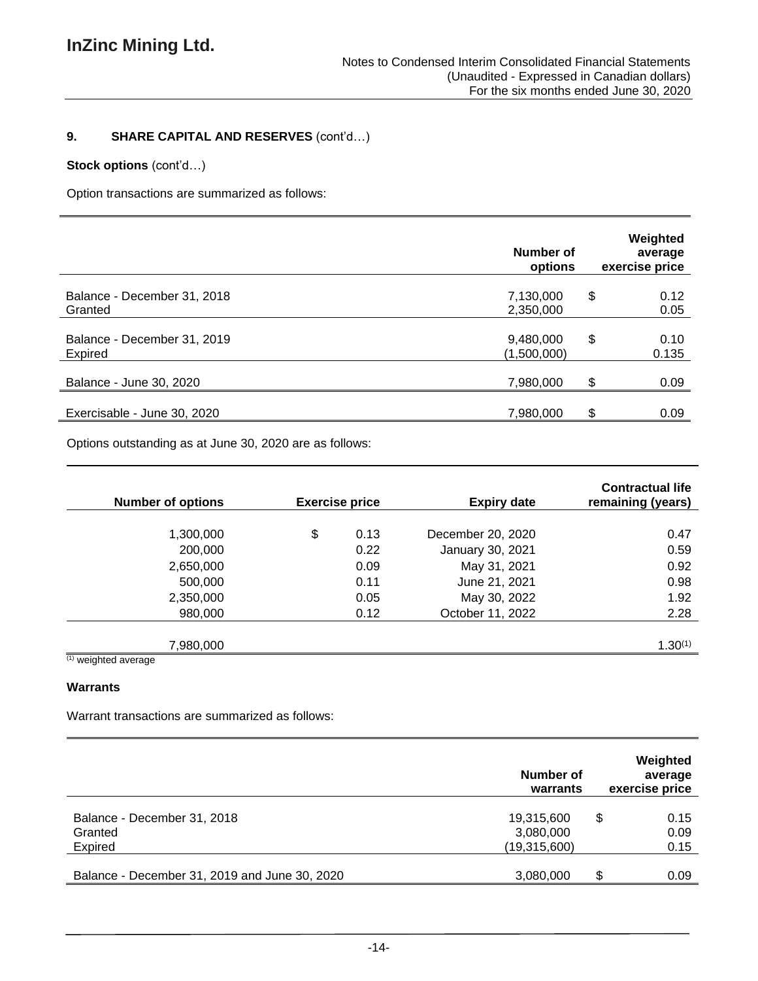# **9. SHARE CAPITAL AND RESERVES** (cont'd…)

### **Stock options** (cont'd…)

Option transactions are summarized as follows:

|                                        | Number of<br>options     | Weighted<br>average<br>exercise price |
|----------------------------------------|--------------------------|---------------------------------------|
| Balance - December 31, 2018<br>Granted | 7,130,000<br>2,350,000   | \$<br>0.12<br>0.05                    |
| Balance - December 31, 2019<br>Expired | 9,480,000<br>(1,500,000) | \$<br>0.10<br>0.135                   |
| Balance - June 30, 2020                | 7,980,000                | \$<br>0.09                            |
| Exercisable - June 30, 2020            | 7,980,000                | \$<br>0.09                            |

Options outstanding as at June 30, 2020 are as follows:

| <b>Number of options</b> | <b>Exercise price</b> | <b>Expiry date</b> | <b>Contractual life</b><br>remaining (years) |
|--------------------------|-----------------------|--------------------|----------------------------------------------|
|                          |                       |                    |                                              |
| 1,300,000                | \$<br>0.13            | December 20, 2020  | 0.47                                         |
| 200,000                  | 0.22                  | January 30, 2021   | 0.59                                         |
| 2,650,000                | 0.09                  | May 31, 2021       | 0.92                                         |
| 500,000                  | 0.11                  | June 21, 2021      | 0.98                                         |
| 2,350,000                | 0.05                  | May 30, 2022       | 1.92                                         |
| 980,000                  | 0.12                  | October 11, 2022   | 2.28                                         |
|                          |                       |                    |                                              |
| 7,980,000                |                       |                    | $1.30^{(1)}$                                 |
| $\sqrt{2}$               |                       |                    |                                              |

 $(1)$  weighted average

### **Warrants**

Warrant transactions are summarized as follows:

|                                                   | Number of<br>warrants                   | Weighted<br>average<br>exercise price |
|---------------------------------------------------|-----------------------------------------|---------------------------------------|
| Balance - December 31, 2018<br>Granted<br>Expired | 19,315,600<br>3,080,000<br>(19,315,600) | \$<br>0.15<br>0.09<br>0.15            |
| Balance - December 31, 2019 and June 30, 2020     | 3,080,000                               | S<br>0.09                             |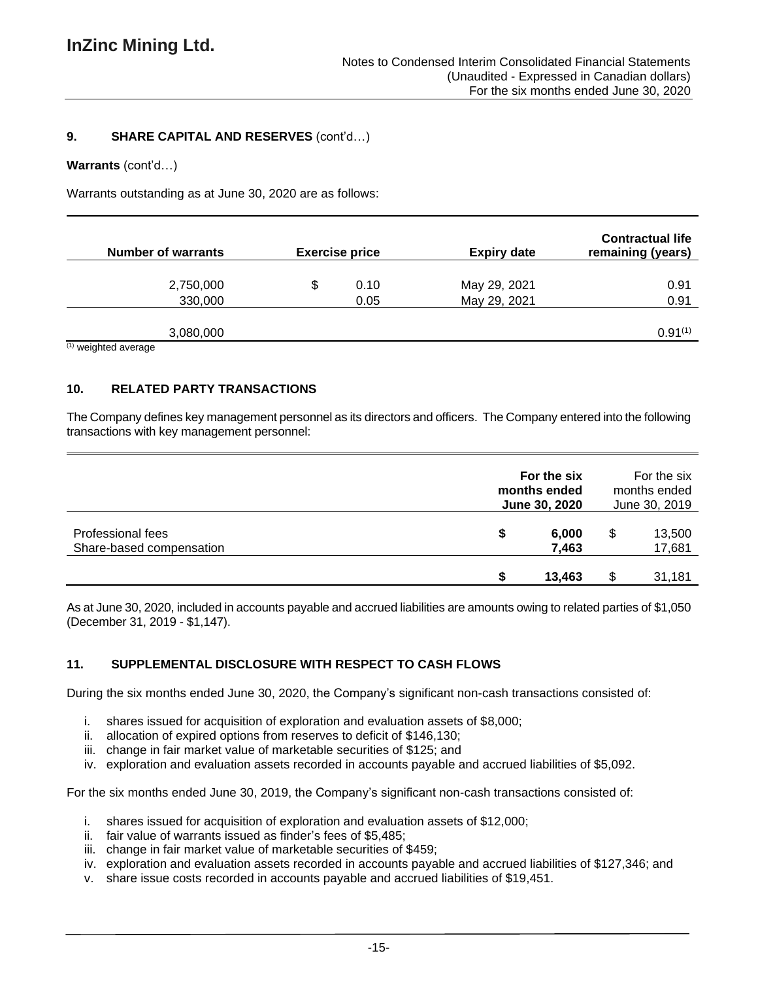### **9. SHARE CAPITAL AND RESERVES** (cont'd…)

#### **Warrants** (cont'd…)

Warrants outstanding as at June 30, 2020 are as follows:

| <b>Number of warrants</b>                     |   | <b>Exercise price</b> | <b>Expiry date</b> | <b>Contractual life</b><br>remaining (years) |
|-----------------------------------------------|---|-----------------------|--------------------|----------------------------------------------|
|                                               |   |                       |                    |                                              |
| 2,750,000                                     | S | 0.10                  | May 29, 2021       | 0.91                                         |
| 330,000                                       |   | 0.05                  | May 29, 2021       | 0.91                                         |
|                                               |   |                       |                    |                                              |
| 3,080,000                                     |   |                       |                    | $0.91^{(1)}$                                 |
| $(4)$ and $(4)$ and $(4)$ and $(4)$ and $(4)$ |   |                       |                    |                                              |

(1) weighted average

## **10. RELATED PARTY TRANSACTIONS**

The Company defines key management personnel as its directors and officers. The Company entered into the following transactions with key management personnel:

|                                                      | For the six<br>months ended<br>June 30, 2020 |                |    | For the six<br>months ended<br>June 30, 2019 |
|------------------------------------------------------|----------------------------------------------|----------------|----|----------------------------------------------|
| <b>Professional fees</b><br>Share-based compensation | S                                            | 6,000<br>7,463 | S  | 13,500<br>17,681                             |
|                                                      |                                              | 13.463         | £. | 31,181                                       |

As at June 30, 2020, included in accounts payable and accrued liabilities are amounts owing to related parties of \$1,050 (December 31, 2019 - \$1,147).

## **11. SUPPLEMENTAL DISCLOSURE WITH RESPECT TO CASH FLOWS**

During the six months ended June 30, 2020, the Company's significant non-cash transactions consisted of:

- i. shares issued for acquisition of exploration and evaluation assets of \$8,000;
- ii. allocation of expired options from reserves to deficit of \$146,130;
- iii. change in fair market value of marketable securities of \$125; and
- iv. exploration and evaluation assets recorded in accounts payable and accrued liabilities of \$5,092.

For the six months ended June 30, 2019, the Company's significant non-cash transactions consisted of:

- i. shares issued for acquisition of exploration and evaluation assets of \$12,000;
- ii. fair value of warrants issued as finder's fees of \$5,485;
- iii. change in fair market value of marketable securities of \$459;
- iv. exploration and evaluation assets recorded in accounts payable and accrued liabilities of \$127,346; and
- v. share issue costs recorded in accounts payable and accrued liabilities of \$19,451.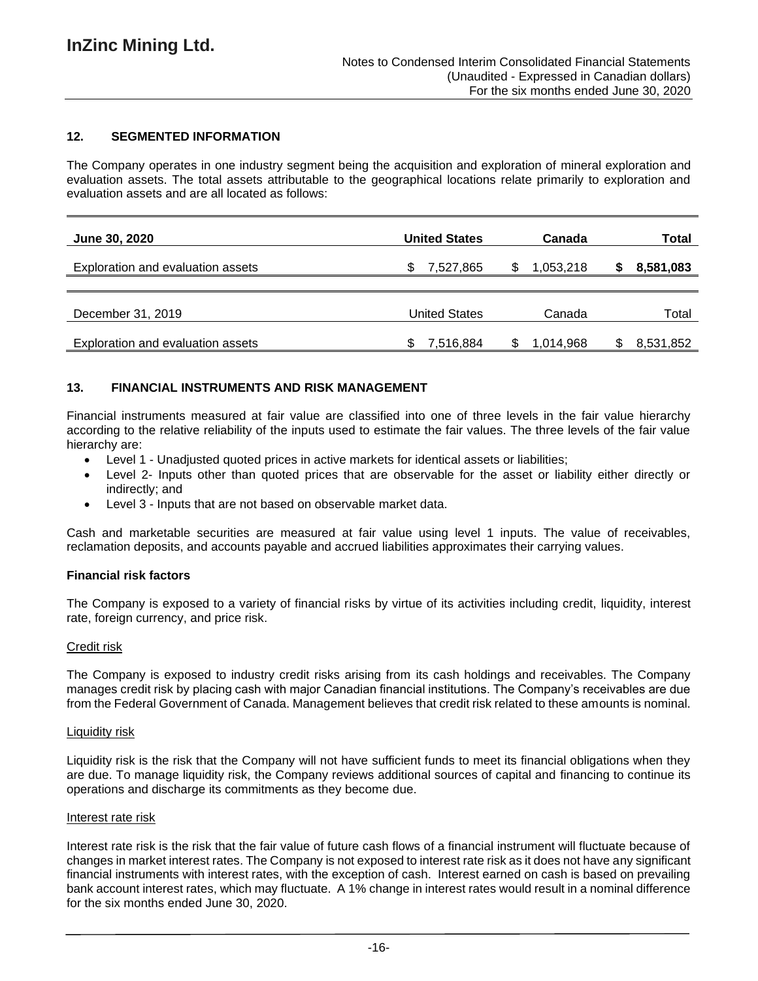## **12. SEGMENTED INFORMATION**

The Company operates in one industry segment being the acquisition and exploration of mineral exploration and evaluation assets. The total assets attributable to the geographical locations relate primarily to exploration and evaluation assets and are all located as follows:

| <b>June 30, 2020</b>              | <b>United States</b> | Canada          | Total     |
|-----------------------------------|----------------------|-----------------|-----------|
| Exploration and evaluation assets | 7,527,865<br>S       | 1,053,218<br>S. | 8,581,083 |
| December 31, 2019                 | <b>United States</b> | Canada          | Total     |
| Exploration and evaluation assets | 7,516,884<br>\$      | 1,014,968<br>S  | 8,531,852 |

### **13. FINANCIAL INSTRUMENTS AND RISK MANAGEMENT**

Financial instruments measured at fair value are classified into one of three levels in the fair value hierarchy according to the relative reliability of the inputs used to estimate the fair values. The three levels of the fair value hierarchy are:

- Level 1 Unadjusted quoted prices in active markets for identical assets or liabilities;
- Level 2- Inputs other than quoted prices that are observable for the asset or liability either directly or indirectly; and
- Level 3 Inputs that are not based on observable market data.

Cash and marketable securities are measured at fair value using level 1 inputs. The value of receivables, reclamation deposits, and accounts payable and accrued liabilities approximates their carrying values.

#### **Financial risk factors**

The Company is exposed to a variety of financial risks by virtue of its activities including credit, liquidity, interest rate, foreign currency, and price risk.

#### Credit risk

The Company is exposed to industry credit risks arising from its cash holdings and receivables. The Company manages credit risk by placing cash with major Canadian financial institutions. The Company's receivables are due from the Federal Government of Canada. Management believes that credit risk related to these amounts is nominal.

#### Liquidity risk

Liquidity risk is the risk that the Company will not have sufficient funds to meet its financial obligations when they are due. To manage liquidity risk, the Company reviews additional sources of capital and financing to continue its operations and discharge its commitments as they become due.

#### Interest rate risk

Interest rate risk is the risk that the fair value of future cash flows of a financial instrument will fluctuate because of changes in market interest rates. The Company is not exposed to interest rate risk as it does not have any significant financial instruments with interest rates, with the exception of cash. Interest earned on cash is based on prevailing bank account interest rates, which may fluctuate. A 1% change in interest rates would result in a nominal difference for the six months ended June 30, 2020.